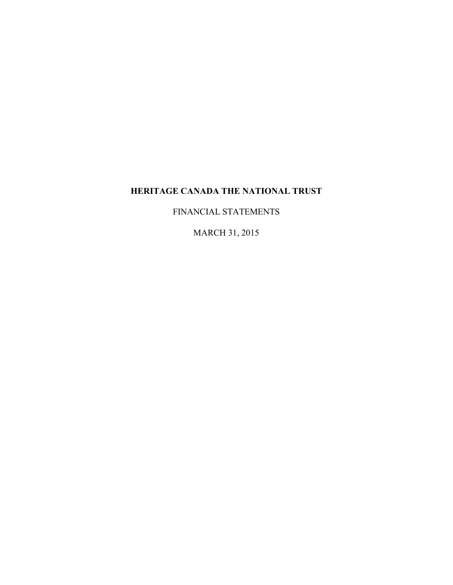FINANCIAL STATEMENTS

MARCH 31, 2015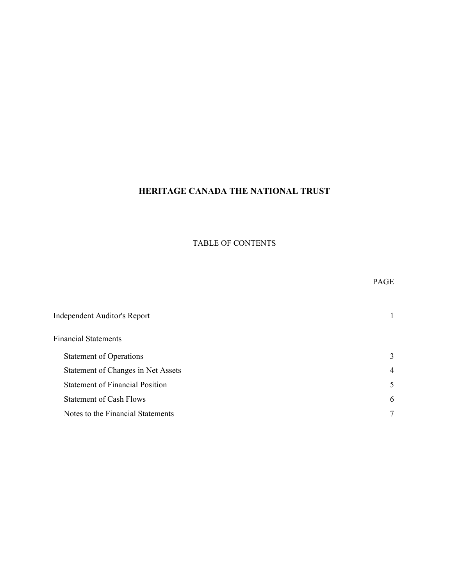#### TABLE OF CONTENTS

# PAGE

| <b>Independent Auditor's Report</b>    |                |
|----------------------------------------|----------------|
| <b>Financial Statements</b>            |                |
| <b>Statement of Operations</b>         | 3              |
| Statement of Changes in Net Assets     | $\overline{4}$ |
| <b>Statement of Financial Position</b> | 5              |
| <b>Statement of Cash Flows</b>         | 6              |
| Notes to the Financial Statements      | $\tau$         |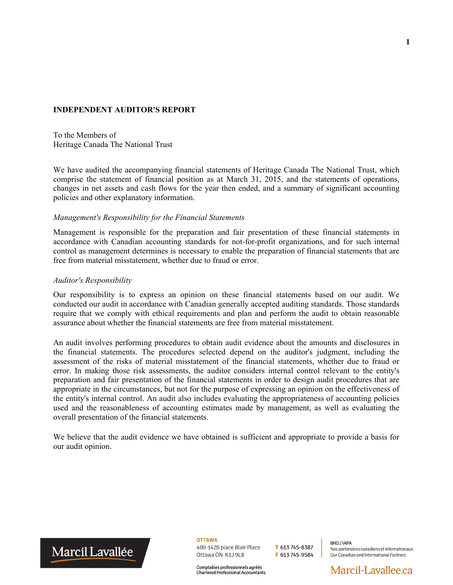#### **INDEPENDENT AUDITOR'S REPORT**

To the Members of Heritage Canada The National Trust

We have audited the accompanying financial statements of Heritage Canada The National Trust, which comprise the statement of financial position as at March 31, 2015, and the statements of operations, changes in net assets and cash flows for the year then ended, and a summary of significant accounting policies and other explanatory information.

#### *Management's Responsibility for the Financial Statements*

Management is responsible for the preparation and fair presentation of these financial statements in accordance with Canadian accounting standards for not-for-profit organizations, and for such internal control as management determines is necessary to enable the preparation of financial statements that are free from material misstatement, whether due to fraud or error.

#### *Auditor's Responsibility*

Our responsibility is to express an opinion on these financial statements based on our audit. We conducted our audit in accordance with Canadian generally accepted auditing standards. Those standards require that we comply with ethical requirements and plan and perform the audit to obtain reasonable assurance about whether the financial statements are free from material misstatement.

An audit involves performing procedures to obtain audit evidence about the amounts and disclosures in the financial statements. The procedures selected depend on the auditor's judgment, including the assessment of the risks of material misstatement of the financial statements, whether due to fraud or error. In making those risk assessments, the auditor considers internal control relevant to the entity's preparation and fair presentation of the financial statements in order to design audit procedures that are appropriate in the circumstances, but not for the purpose of expressing an opinion on the effectiveness of the entity's internal control. An audit also includes evaluating the appropriateness of accounting policies used and the reasonableness of accounting estimates made by management, as well as evaluating the overall presentation of the financial statements.

We believe that the audit evidence we have obtained is sufficient and appropriate to provide a basis for our audit opinion.



**OTTAWA** 400-1420 place Blair Place Ottawa ON K1J9L8

T 613 745-8387 F 613 745-9584

**BHD/IAPA** Nos partenaires canadiens et internationaux Our Canadian and International Partners

Comptables professionnels agréés **Chartered Professional Accountants** 

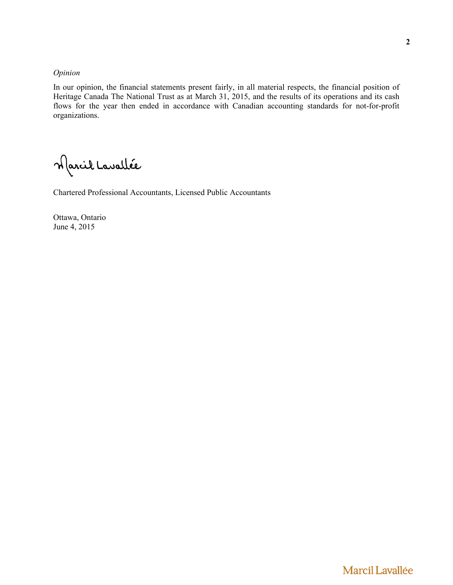*Opinion*

In our opinion, the financial statements present fairly, in all material respects, the financial position of Heritage Canada The National Trust as at March 31, 2015, and the results of its operations and its cash flows for the year then ended in accordance with Canadian accounting standards for not-for-profit organizations.

Marcil Lavattée

Chartered Professional Accountants, Licensed Public Accountants

Ottawa, Ontario June 4, 2015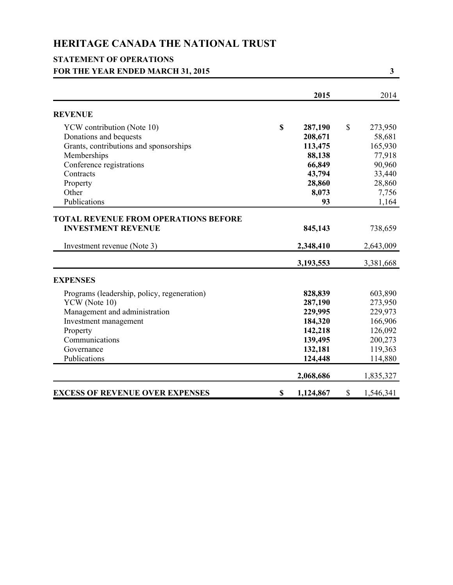# **STATEMENT OF OPERATIONS**

| <b>FOR THE YEAR ENDED MARCH 31, 2015</b>                                 |             |           | $\mathbf{3}$    |
|--------------------------------------------------------------------------|-------------|-----------|-----------------|
|                                                                          |             | 2015      | 2014            |
| <b>REVENUE</b>                                                           |             |           |                 |
| YCW contribution (Note 10)                                               | $\mathbf S$ | 287,190   | \$<br>273,950   |
| Donations and bequests                                                   |             | 208,671   | 58,681          |
| Grants, contributions and sponsorships                                   |             | 113,475   | 165,930         |
| Memberships                                                              |             | 88,138    | 77,918          |
| Conference registrations                                                 |             | 66,849    | 90,960          |
| Contracts                                                                |             | 43,794    | 33,440          |
| Property                                                                 |             | 28,860    | 28,860          |
| Other                                                                    |             | 8,073     | 7,756           |
| Publications                                                             |             | 93        | 1,164           |
| <b>TOTAL REVENUE FROM OPERATIONS BEFORE</b><br><b>INVESTMENT REVENUE</b> |             | 845,143   | 738,659         |
| Investment revenue (Note 3)                                              |             | 2,348,410 | 2,643,009       |
|                                                                          |             | 3,193,553 | 3,381,668       |
| <b>EXPENSES</b>                                                          |             |           |                 |
| Programs (leadership, policy, regeneration)                              |             | 828,839   | 603,890         |
| YCW (Note 10)                                                            |             | 287,190   | 273,950         |
| Management and administration                                            |             | 229,995   | 229,973         |
| Investment management                                                    |             | 184,320   | 166,906         |
| Property                                                                 |             | 142,218   | 126,092         |
| Communications                                                           |             | 139,495   | 200,273         |
| Governance                                                               |             | 132,181   | 119,363         |
| Publications                                                             |             | 124,448   | 114,880         |
|                                                                          |             | 2,068,686 | 1,835,327       |
| <b>EXCESS OF REVENUE OVER EXPENSES</b>                                   | \$          | 1,124,867 | \$<br>1,546,341 |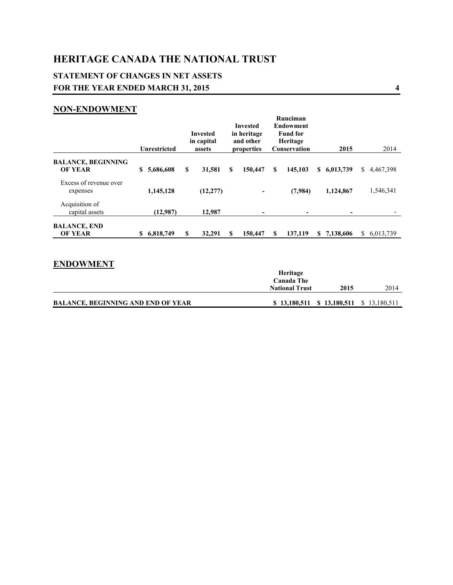# **STATEMENT OF CHANGES IN NET ASSETS FOR THE YEAR ENDED MARCH 31, 2015 4**

## **NON-ENDOWMENT**

|                                             |    | <b>Unrestricted</b> |   | <b>Invested</b><br>in capital<br>assets | <b>Invested</b><br>in heritage<br>and other<br>properties |   | Runciman<br><b>Endowment</b><br><b>Fund for</b><br>Heritage<br><b>Conservation</b> |    | 2015      |    | 2014      |
|---------------------------------------------|----|---------------------|---|-----------------------------------------|-----------------------------------------------------------|---|------------------------------------------------------------------------------------|----|-----------|----|-----------|
| <b>BALANCE, BEGINNING</b><br><b>OF YEAR</b> | S. | 5,686,608           | S | 31,581                                  | \$<br>150,447                                             | S | 145,103                                                                            | S. | 6,013,739 | \$ | 4,467,398 |
| Excess of revenue over<br>expenses          |    | 1,145,128           |   | (12, 277)                               |                                                           |   | (7,984)                                                                            |    | 1,124,867 |    | 1,546,341 |
| Acquisition of<br>capital assets            |    | (12,987)            |   | 12,987                                  |                                                           |   | $\blacksquare$                                                                     |    |           |    |           |
| <b>BALANCE, END</b><br><b>OF YEAR</b>       | S. | 6,818,749           | S | 32.291                                  | \$<br>150,447                                             | S | 137,119                                                                            | S. | 7,138,606 | S  | 6,013,739 |

#### **ENDOWMENT**

|                                           | Heritage<br>Canada The                            |      |      |
|-------------------------------------------|---------------------------------------------------|------|------|
|                                           | <b>National Trust</b>                             | 2015 | 2014 |
| <b>BALANCE, BEGINNING AND END OF YEAR</b> | $$13,180,511 \quad $13,180,511 \quad $13,180,511$ |      |      |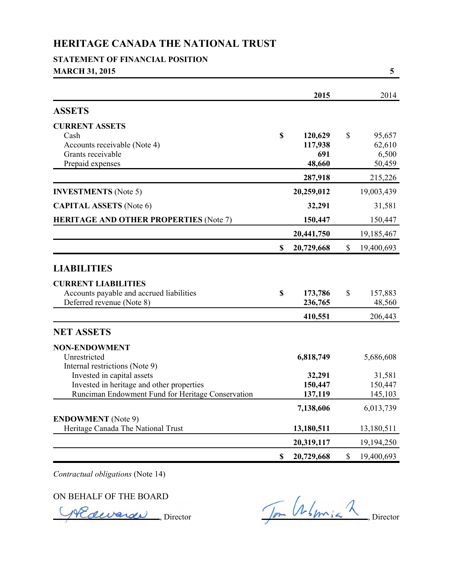#### **STATEMENT OF FINANCIAL POSITION**

**MARCH 31, 2015 5**

|                                                                                                        | 2015                                      | 2014                                      |
|--------------------------------------------------------------------------------------------------------|-------------------------------------------|-------------------------------------------|
| <b>ASSETS</b>                                                                                          |                                           |                                           |
| <b>CURRENT ASSETS</b><br>Cash<br>Accounts receivable (Note 4)<br>Grants receivable<br>Prepaid expenses | \$<br>120,629<br>117,938<br>691<br>48,660 | \$<br>95,657<br>62,610<br>6,500<br>50,459 |
|                                                                                                        | 287,918                                   | 215,226                                   |
| <b>INVESTMENTS</b> (Note 5)                                                                            | 20,259,012                                | 19,003,439                                |
| <b>CAPITAL ASSETS</b> (Note 6)                                                                         | 32,291                                    | 31,581                                    |
| <b>HERITAGE AND OTHER PROPERTIES (Note 7)</b>                                                          | 150,447                                   | 150,447                                   |
|                                                                                                        | 20,441,750                                | 19,185,467                                |
|                                                                                                        | \$<br>20,729,668                          | \$<br>19,400,693                          |
| <b>LIABILITIES</b>                                                                                     |                                           |                                           |
| <b>CURRENT LIABILITIES</b><br>Accounts payable and accrued liabilities<br>Deferred revenue (Note 8)    | \$<br>173,786<br>236,765                  | \$<br>157,883<br>48,560                   |
|                                                                                                        | 410,551                                   | 206,443                                   |
| <b>NET ASSETS</b>                                                                                      |                                           |                                           |
| <b>NON-ENDOWMENT</b><br>Unrestricted<br>Internal restrictions (Note 9)                                 | 6,818,749                                 | 5,686,608                                 |
| Invested in capital assets                                                                             | 32,291                                    | 31,581                                    |
| Invested in heritage and other properties<br>Runciman Endowment Fund for Heritage Conservation         | 150,447<br>137,119                        | 150,447<br>145,103                        |
|                                                                                                        | 7,138,606                                 | 6,013,739                                 |
| <b>ENDOWMENT</b> (Note 9)                                                                              |                                           |                                           |
| Heritage Canada The National Trust                                                                     | 13,180,511                                | 13,180,511                                |
|                                                                                                        | 20,319,117                                | 19,194,250                                |
|                                                                                                        | \$<br>20,729,668                          | \$<br>19,400,693                          |

*Contractual obligations* (Note 14)

ON BEHALF OF THE BOARD

BEHALF OF THE BOARD<br>1 redevendu \_ Director Jon Whin is 2 Director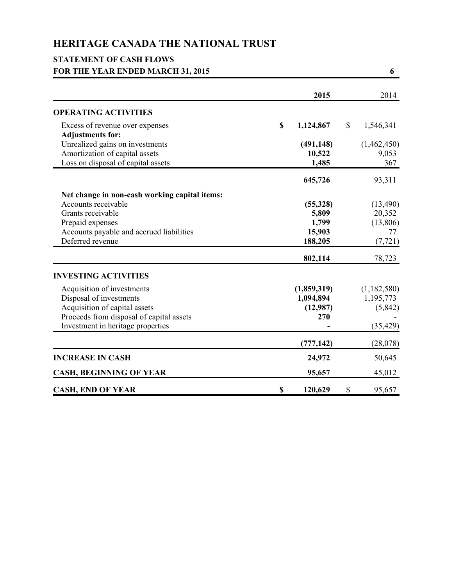## **STATEMENT OF CASH FLOWS**

# **FOR THE YEAR ENDED MARCH 31, 2015 6**

|                                                            | 2015            | 2014            |
|------------------------------------------------------------|-----------------|-----------------|
| <b>OPERATING ACTIVITIES</b>                                |                 |                 |
| Excess of revenue over expenses<br><b>Adjustments for:</b> | \$<br>1,124,867 | \$<br>1,546,341 |
| Unrealized gains on investments                            | (491, 148)      | (1,462,450)     |
| Amortization of capital assets                             | 10,522          | 9,053           |
| Loss on disposal of capital assets                         | 1,485           | 367             |
|                                                            | 645,726         | 93,311          |
| Net change in non-cash working capital items:              |                 |                 |
| Accounts receivable                                        | (55,328)        | (13, 490)       |
| Grants receivable                                          | 5,809           | 20,352          |
| Prepaid expenses                                           | 1,799           | (13,806)        |
| Accounts payable and accrued liabilities                   | 15,903          | 77              |
| Deferred revenue                                           | 188,205         | (7, 721)        |
|                                                            | 802,114         | 78,723          |
| <b>INVESTING ACTIVITIES</b>                                |                 |                 |
| Acquisition of investments                                 | (1,859,319)     | (1,182,580)     |
| Disposal of investments                                    | 1,094,894       | 1,195,773       |
| Acquisition of capital assets                              | (12,987)        | (5,842)         |
| Proceeds from disposal of capital assets                   | 270             |                 |
| Investment in heritage properties                          |                 | (35, 429)       |
|                                                            | (777, 142)      | (28,078)        |
| <b>INCREASE IN CASH</b>                                    | 24,972          | 50,645          |
| <b>CASH, BEGINNING OF YEAR</b>                             | 95,657          | 45,012          |
| <b>CASH, END OF YEAR</b>                                   | \$<br>120,629   | \$<br>95,657    |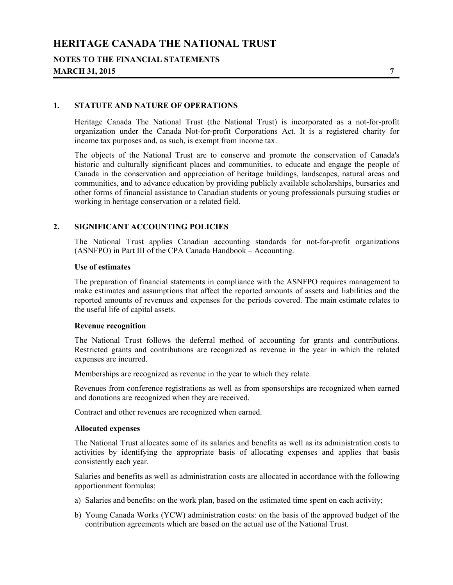### **NOTES TO THE FINANCIAL STATEMENTS MARCH 31, 2015 7**

#### **1. STATUTE AND NATURE OF OPERATIONS**

Heritage Canada The National Trust (the National Trust) is incorporated as a not-for-profit organization under the Canada Not-for-profit Corporations Act. It is a registered charity for income tax purposes and, as such, is exempt from income tax.

The objects of the National Trust are to conserve and promote the conservation of Canada's historic and culturally significant places and communities, to educate and engage the people of Canada in the conservation and appreciation of heritage buildings, landscapes, natural areas and communities, and to advance education by providing publicly available scholarships, bursaries and other forms of financial assistance to Canadian students or young professionals pursuing studies or working in heritage conservation or a related field.

#### **2. SIGNIFICANT ACCOUNTING POLICIES**

The National Trust applies Canadian accounting standards for not-for-profit organizations (ASNFPO) in Part III of the CPA Canada Handbook – Accounting.

#### **Use of estimates**

The preparation of financial statements in compliance with the ASNFPO requires management to make estimates and assumptions that affect the reported amounts of assets and liabilities and the reported amounts of revenues and expenses for the periods covered. The main estimate relates to the useful life of capital assets.

#### **Revenue recognition**

The National Trust follows the deferral method of accounting for grants and contributions. Restricted grants and contributions are recognized as revenue in the year in which the related expenses are incurred.

Memberships are recognized as revenue in the year to which they relate.

Revenues from conference registrations as well as from sponsorships are recognized when earned and donations are recognized when they are received.

Contract and other revenues are recognized when earned.

#### **Allocated expenses**

The National Trust allocates some of its salaries and benefits as well as its administration costs to activities by identifying the appropriate basis of allocating expenses and applies that basis consistently each year.

Salaries and benefits as well as administration costs are allocated in accordance with the following apportionment formulas:

- a) Salaries and benefits: on the work plan, based on the estimated time spent on each activity;
- b) Young Canada Works (YCW) administration costs: on the basis of the approved budget of the contribution agreements which are based on the actual use of the National Trust.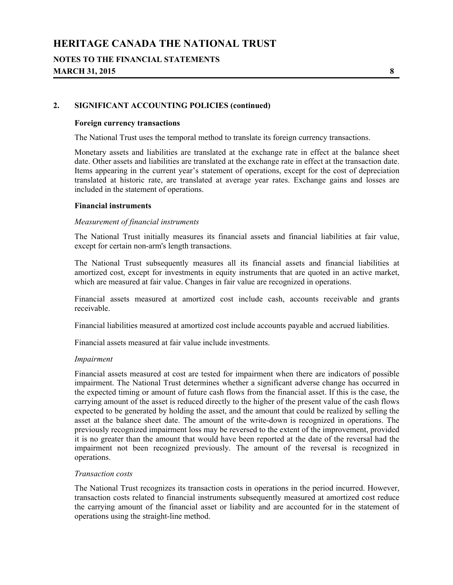## **NOTES TO THE FINANCIAL STATEMENTS MARCH 31, 2015 8**

#### **Foreign currency transactions**

The National Trust uses the temporal method to translate its foreign currency transactions.

Monetary assets and liabilities are translated at the exchange rate in effect at the balance sheet date. Other assets and liabilities are translated at the exchange rate in effect at the transaction date. Items appearing in the current year's statement of operations, except for the cost of depreciation translated at historic rate, are translated at average year rates. Exchange gains and losses are included in the statement of operations.

#### **Financial instruments**

#### *Measurement of financial instruments*

The National Trust initially measures its financial assets and financial liabilities at fair value, except for certain non-arm's length transactions.

The National Trust subsequently measures all its financial assets and financial liabilities at amortized cost, except for investments in equity instruments that are quoted in an active market, which are measured at fair value. Changes in fair value are recognized in operations.

Financial assets measured at amortized cost include cash, accounts receivable and grants receivable.

Financial liabilities measured at amortized cost include accounts payable and accrued liabilities.

Financial assets measured at fair value include investments.

#### *Impairment*

Financial assets measured at cost are tested for impairment when there are indicators of possible impairment. The National Trust determines whether a significant adverse change has occurred in the expected timing or amount of future cash flows from the financial asset. If this is the case, the carrying amount of the asset is reduced directly to the higher of the present value of the cash flows expected to be generated by holding the asset, and the amount that could be realized by selling the asset at the balance sheet date. The amount of the write-down is recognized in operations. The previously recognized impairment loss may be reversed to the extent of the improvement, provided it is no greater than the amount that would have been reported at the date of the reversal had the impairment not been recognized previously. The amount of the reversal is recognized in operations.

#### *Transaction costs*

The National Trust recognizes its transaction costs in operations in the period incurred. However, transaction costs related to financial instruments subsequently measured at amortized cost reduce the carrying amount of the financial asset or liability and are accounted for in the statement of operations using the straight-line method.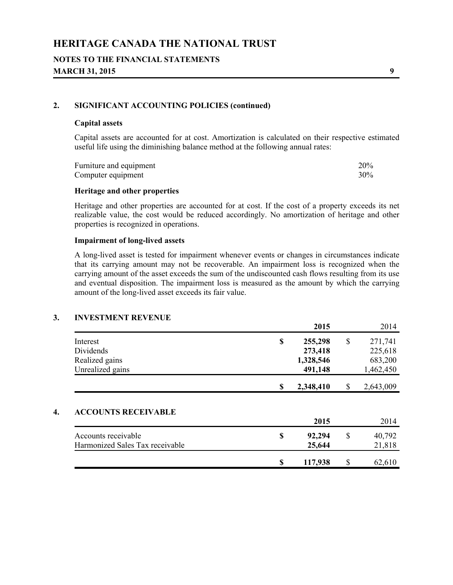## **NOTES TO THE FINANCIAL STATEMENTS MARCH 31, 2015 9**

#### **2. SIGNIFICANT ACCOUNTING POLICIES (continued)**

#### **Capital assets**

Capital assets are accounted for at cost. Amortization is calculated on their respective estimated useful life using the diminishing balance method at the following annual rates:

| Furniture and equipment | 20% |
|-------------------------|-----|
| Computer equipment      | 30% |

#### **Heritage and other properties**

Heritage and other properties are accounted for at cost. If the cost of a property exceeds its net realizable value, the cost would be reduced accordingly. No amortization of heritage and other properties is recognized in operations.

#### **Impairment of long-lived assets**

A long-lived asset is tested for impairment whenever events or changes in circumstances indicate that its carrying amount may not be recoverable. An impairment loss is recognized when the carrying amount of the asset exceeds the sum of the undiscounted cash flows resulting from its use and eventual disposition. The impairment loss is measured as the amount by which the carrying amount of the long-lived asset exceeds its fair value.

#### **3. INVESTMENT REVENUE**

|                                 | 2015            | 2014            |
|---------------------------------|-----------------|-----------------|
| Interest                        | \$<br>255,298   | \$<br>271,741   |
| Dividends                       | 273,418         | 225,618         |
| Realized gains                  | 1,328,546       | 683,200         |
| Unrealized gains                | 491,148         | 1,462,450       |
|                                 | \$<br>2,348,410 | \$<br>2,643,009 |
| <b>ACCOUNTS RECEIVABLE</b>      | 2015            | 2014            |
| Accounts receivable             | \$<br>92,294    | \$<br>40,792    |
| Harmonized Sales Tax receivable | 25,644          | 21,818          |
|                                 | 117,938         | \$<br>62,610    |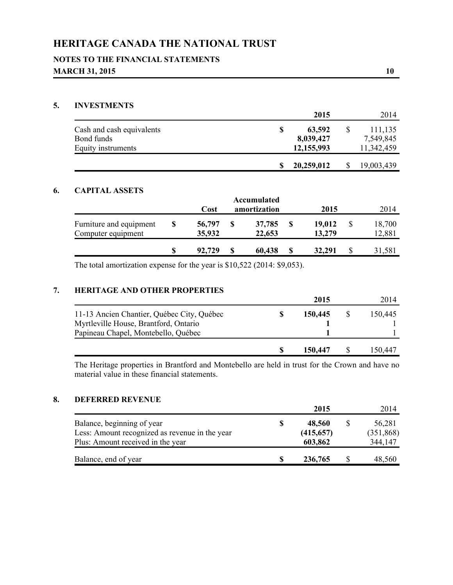# **NOTES TO THE FINANCIAL STATEMENTS**

## **MARCH 31, 2015 10**

#### **5. INVESTMENTS**

|                           |   | 2015       | 2014       |
|---------------------------|---|------------|------------|
| Cash and cash equivalents | S | 63,592     | 111,135    |
| Bond funds                |   | 8,039,427  | 7,549,845  |
| Equity instruments        |   | 12,155,993 | 11,342,459 |
|                           |   | 20,259,012 | 19,003,439 |

#### **6. CAPITAL ASSETS**

|                                               | Cost             | Accumulated<br>amortization |          | 2015             | 2014             |
|-----------------------------------------------|------------------|-----------------------------|----------|------------------|------------------|
| Furniture and equipment<br>Computer equipment | 56,797<br>35,932 | 37,785<br>22,653            | <b>S</b> | 19,012<br>13,279 | 18,700<br>12,881 |
|                                               | 92,729           | 60,438                      |          | 32,291           | 31,581           |

The total amortization expense for the year is \$10,522 (2014: \$9,053).

# **7. HERITAGE AND OTHER PROPERTIES**

|                                                                                                                            | 2015    | 2014    |
|----------------------------------------------------------------------------------------------------------------------------|---------|---------|
| 11-13 Ancien Chantier, Québec City, Québec<br>Myrtleville House, Brantford, Ontario<br>Papineau Chapel, Montebello, Québec | 150,445 | 150.445 |
|                                                                                                                            | 150,447 | 150.447 |

The Heritage properties in Brantford and Montebello are held in trust for the Crown and have no material value in these financial statements.

### **8. DEFERRED REVENUE**

|                                                                                                                   |   | 2015                            | 2014                            |
|-------------------------------------------------------------------------------------------------------------------|---|---------------------------------|---------------------------------|
| Balance, beginning of year<br>Less: Amount recognized as revenue in the year<br>Plus: Amount received in the year | S | 48,560<br>(415, 657)<br>603,862 | 56,281<br>(351, 868)<br>344,147 |
| Balance, end of year                                                                                              |   | 236,765                         | 48,560                          |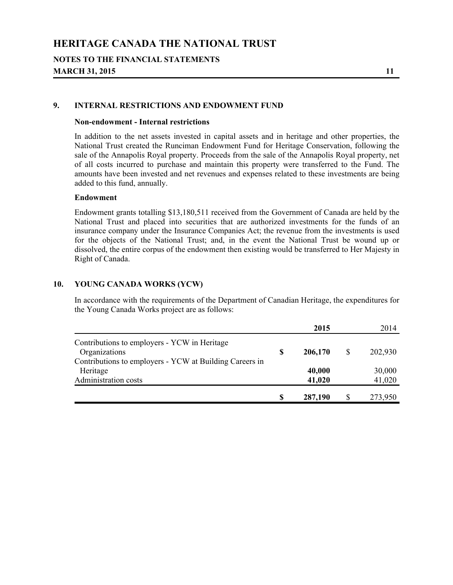# **NOTES TO THE FINANCIAL STATEMENTS**

#### **MARCH 31, 2015 11**

#### **9. INTERNAL RESTRICTIONS AND ENDOWMENT FUND**

#### **Non-endowment - Internal restrictions**

In addition to the net assets invested in capital assets and in heritage and other properties, the National Trust created the Runciman Endowment Fund for Heritage Conservation, following the sale of the Annapolis Royal property. Proceeds from the sale of the Annapolis Royal property, net of all costs incurred to purchase and maintain this property were transferred to the Fund. The amounts have been invested and net revenues and expenses related to these investments are being added to this fund, annually.

#### **Endowment**

Endowment grants totalling \$13,180,511 received from the Government of Canada are held by the National Trust and placed into securities that are authorized investments for the funds of an insurance company under the Insurance Companies Act; the revenue from the investments is used for the objects of the National Trust; and, in the event the National Trust be wound up or dissolved, the entire corpus of the endowment then existing would be transferred to Her Majesty in Right of Canada.

#### **10. YOUNG CANADA WORKS (YCW)**

In accordance with the requirements of the Department of Canadian Heritage, the expenditures for the Young Canada Works project are as follows:

|                                                         |   | 2015    | 2014    |
|---------------------------------------------------------|---|---------|---------|
| Contributions to employers - YCW in Heritage            |   |         |         |
| Organizations                                           | S | 206,170 | 202,930 |
| Contributions to employers - YCW at Building Careers in |   |         |         |
| Heritage                                                |   | 40,000  | 30,000  |
| Administration costs                                    |   | 41,020  | 41,020  |
|                                                         |   |         |         |
|                                                         | S | 287,190 | 273,950 |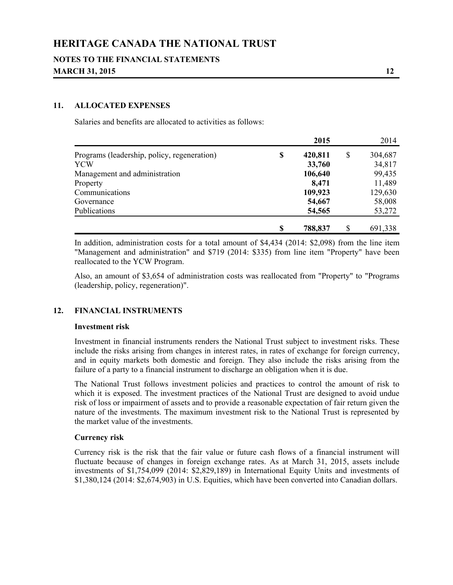# **NOTES TO THE FINANCIAL STATEMENTS**

### **MARCH 31, 2015 12**

#### **11. ALLOCATED EXPENSES**

Salaries and benefits are allocated to activities as follows:

|                                             | 2015          | 2014          |
|---------------------------------------------|---------------|---------------|
| Programs (leadership, policy, regeneration) | \$<br>420,811 | \$<br>304,687 |
| YCW                                         | 33,760        | 34,817        |
| Management and administration               | 106,640       | 99,435        |
| Property                                    | 8,471         | 11,489        |
| Communications                              | 109,923       | 129,630       |
| Governance                                  | 54,667        | 58,008        |
| Publications                                | 54,565        | 53,272        |
|                                             | \$<br>788,837 | \$<br>691,338 |

In addition, administration costs for a total amount of \$4,434 (2014: \$2,098) from the line item "Management and administration" and \$719 (2014: \$335) from line item "Property" have been reallocated to the YCW Program.

Also, an amount of \$3,654 of administration costs was reallocated from "Property" to "Programs (leadership, policy, regeneration)".

### **12. FINANCIAL INSTRUMENTS**

#### **Investment risk**

Investment in financial instruments renders the National Trust subject to investment risks. These include the risks arising from changes in interest rates, in rates of exchange for foreign currency, and in equity markets both domestic and foreign. They also include the risks arising from the failure of a party to a financial instrument to discharge an obligation when it is due.

The National Trust follows investment policies and practices to control the amount of risk to which it is exposed. The investment practices of the National Trust are designed to avoid undue risk of loss or impairment of assets and to provide a reasonable expectation of fair return given the nature of the investments. The maximum investment risk to the National Trust is represented by the market value of the investments.

#### **Currency risk**

Currency risk is the risk that the fair value or future cash flows of a financial instrument will fluctuate because of changes in foreign exchange rates. As at March 31, 2015, assets include investments of \$1,754,099 (2014: \$2,829,189) in International Equity Units and investments of \$1,380,124 (2014: \$2,674,903) in U.S. Equities, which have been converted into Canadian dollars.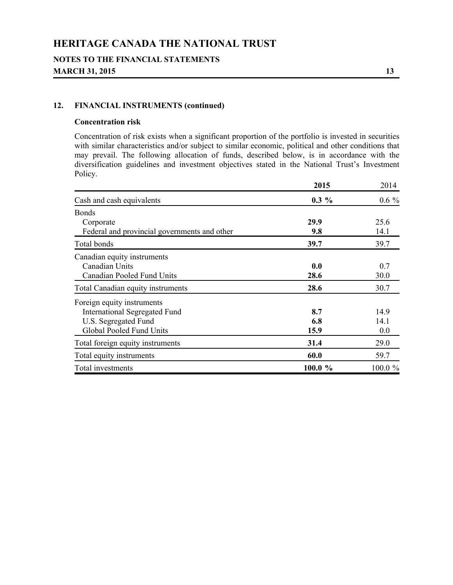## **NOTES TO THE FINANCIAL STATEMENTS MARCH 31, 2015 13**

#### **12. FINANCIAL INSTRUMENTS (continued)**

#### **Concentration risk**

Concentration of risk exists when a significant proportion of the portfolio is invested in securities with similar characteristics and/or subject to similar economic, political and other conditions that may prevail. The following allocation of funds, described below, is in accordance with the diversification guidelines and investment objectives stated in the National Trust's Investment Policy.

|                                              | 2015    | 2014    |
|----------------------------------------------|---------|---------|
| Cash and cash equivalents                    | $0.3\%$ | $0.6\%$ |
| <b>B</b> onds                                |         |         |
| Corporate                                    | 29.9    | 25.6    |
| Federal and provincial governments and other | 9.8     | 14.1    |
| Total bonds                                  | 39.7    | 39.7    |
| Canadian equity instruments                  |         |         |
| Canadian Units                               | 0.0     | 0.7     |
| <b>Canadian Pooled Fund Units</b>            | 28.6    | 30.0    |
| Total Canadian equity instruments            | 28.6    | 30.7    |
| Foreign equity instruments                   |         |         |
| <b>International Segregated Fund</b>         | 8.7     | 14.9    |
| U.S. Segregated Fund                         | 6.8     | 14.1    |
| <b>Global Pooled Fund Units</b>              | 15.9    | 0.0     |
| Total foreign equity instruments             | 31.4    | 29.0    |
| Total equity instruments                     | 60.0    | 59.7    |
| Total investments                            | 100.0 % | 100.0 % |